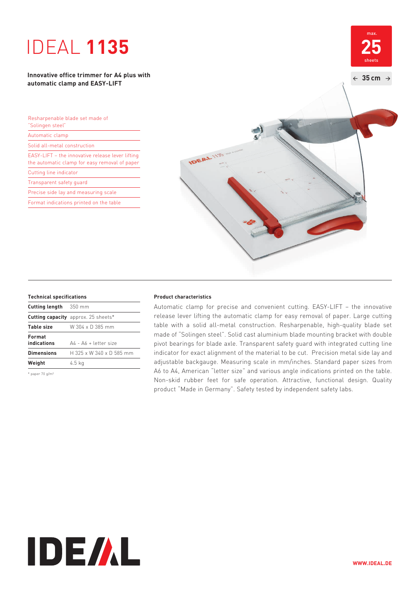# IDEAL **1135**

### **Innovative office trimmer for A4 plus with automatic clamp and EASY-LIFT**

| Resharpenable blade set made of<br>"Solingen steel"                                               |  |
|---------------------------------------------------------------------------------------------------|--|
| Automatic clamp                                                                                   |  |
| Solid all-metal construction                                                                      |  |
| EASY-LIFT - the innovative release lever lifting<br>the automatic clamp for easy removal of paper |  |
| Cutting line indicator                                                                            |  |
| Transparent safety quard                                                                          |  |
| Precise side lay and measuring scale                                                              |  |
| Format indications printed on the table                                                           |  |



| <b>Cutting length</b> 350 mm |                                               |
|------------------------------|-----------------------------------------------|
|                              | <b>Cutting capacity</b> approx. 25 sheets*    |
| <b>Table size</b>            | W 304 x D 385 mm                              |
| Format<br>indications        | $\Delta\Delta$ - $\Delta\Delta$ + letter size |
| <b>Dimensions</b>            | H 325 x W 340 x D 585 mm                      |
| Weight                       | 4.5 kg                                        |
|                              |                                               |

\* paper 70 g/m²

#### **Technical specifications Product characteristics**

 Automatic clamp for precise and convenient cutting. EASY-LIFT – the innovative release lever lifting the automatic clamp for easy removal of paper. Large cutting table with a solid all-metal construction. Resharpenable, high-quality blade set made of "Solingen steel". Solid cast aluminium blade mounting bracket with double pivot bearings for blade axle. Transparent safety guard with integrated cutting line indicator for exact alignment of the material to be cut. Precision metal side lay and adjustable backgauge. Measuring scale in mm/inches. Standard paper sizes from A6 to A4, American "letter size" and various angle indications printed on the table. Non-skid rubber feet for safe operation. Attractive, functional design. Quality product "Made in Germany". Safety tested by independent safety labs.